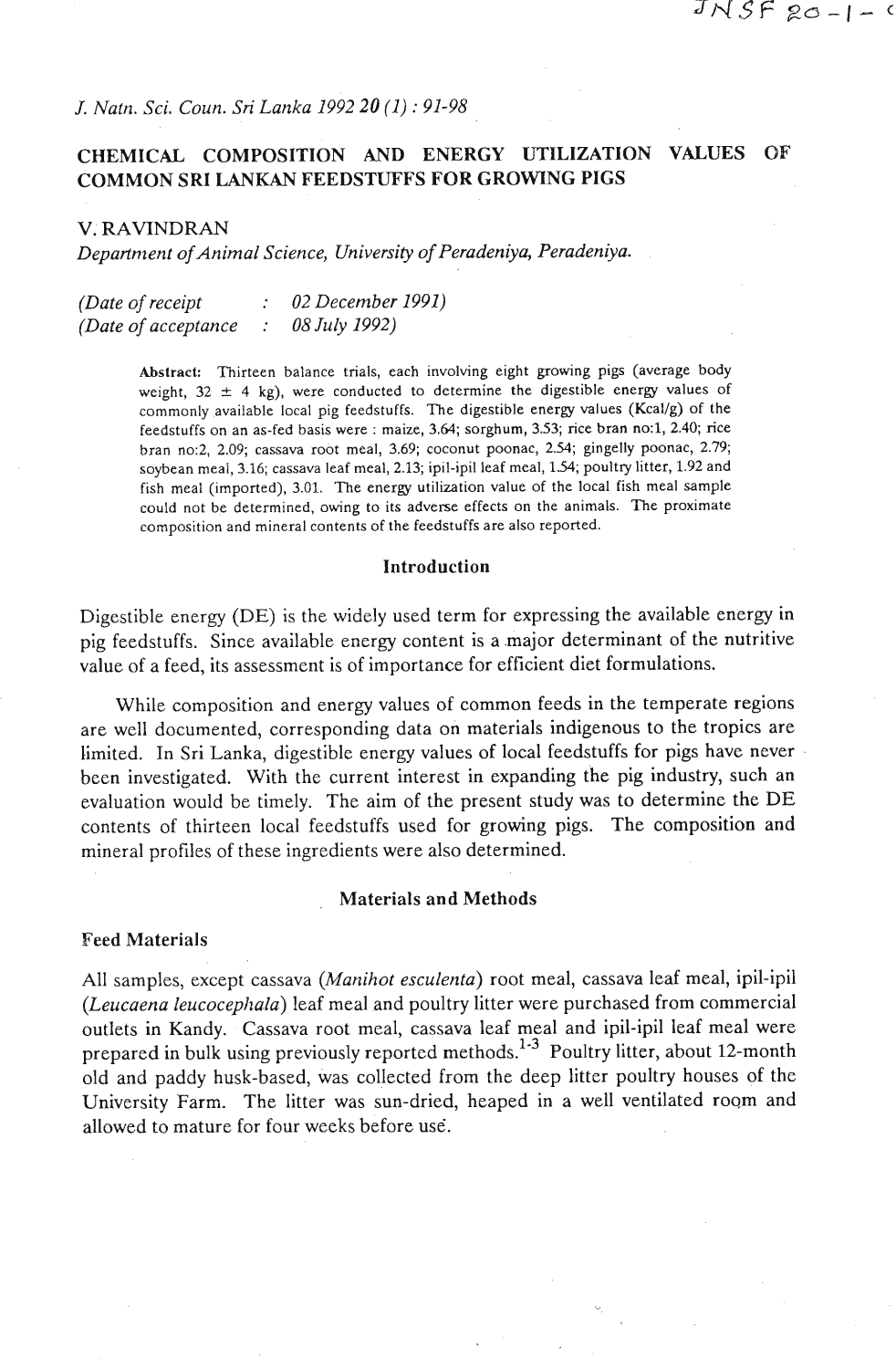*J. Natrz. Sci. Coun. Sri Lanka 1992 20 (1)* : *91-98* 

# **CHEMICAL COMPOSITION AND ENERGY UTILIZATION VALUES OF COMMON SRI LANKAN FEEDSTUFFS FOR GROWING PIGS**

*V. RAVINDRAN* 

*Departntent ofAnimal Science, University of Peradeniya, Peradeniya.* 

| (Date of receipt)    | 02 December 1991) |
|----------------------|-------------------|
| (Date of acceptance) | 08 July 1992)     |

Abstract: Thirteen balance trials, each involving eight growing pigs (average body weight,  $32 \pm 4$  kg), were conducted to determine the digestible energy values of commonly available local pig feedstuffs. The digestible energy values (Kcal/g) of the feedstuffs on an as-fed basis were : maize, 3.64; sorghum, 3.53; rice bran no:l, **2.40;** rice bran no:2, **2.09;** cassava root meal, **3.69;** coconut poonac, **2.54;** gingelly poonac, **2.79;**  soybean meai, **3.16;** cassava leaf meal, **2.13;** ipil-ipil leaf meal, **1.54;** poultry litter, **1.92** and fish meal (imported), **3.01.** The energy utilization value of the local fish meal sample could not be determined, owing to its adverse effects on the animals. The proximate composition and mineral contents of the feedstuffs are also reported.

#### Introduction

Digestible energy (DE) is the widely used term for expressing the available energy in pig feedstuffs. Since available energy content is a major determinant of the nutritive value of a feed, its assessment is of importance for efficient diet formulations.

While composition and energy values of common feeds in the temperate regions are well documented, corresponding data on materials indigenous to the tropics are limited. In Sri Lanka, digestible energy values of local feedstuffs for pigs have never been investigated. With the current interest in expanding the pig industry, such an evaluation would be timely. The aim of the present study was to determine the DE contents of thirteen local feedstuffs used for growing pigs. The composition and mineral profiles of these ingredients were also determined.

#### Materials and Methods

#### Feed Materials

All samples, except cassava *(Manihot esculenta)* root meal, cassava leaf meal, ipil-ipil *(Leucaena leucocephala)* leaf meal and poultry litter were purchased from commercial outlets in Kandy. Cassava root meal, cassava leaf meal and ipil-ipil leaf meal were prepared in bulk using previously reported methods.<sup>1.3</sup> Poultry litter, about 12-month old and paddy husk-based, was collected from the deep litter poultry houses of the University Farm. The litter was sun-dried, heaped in a well ventilated room and allowed to mature for four weeks before use.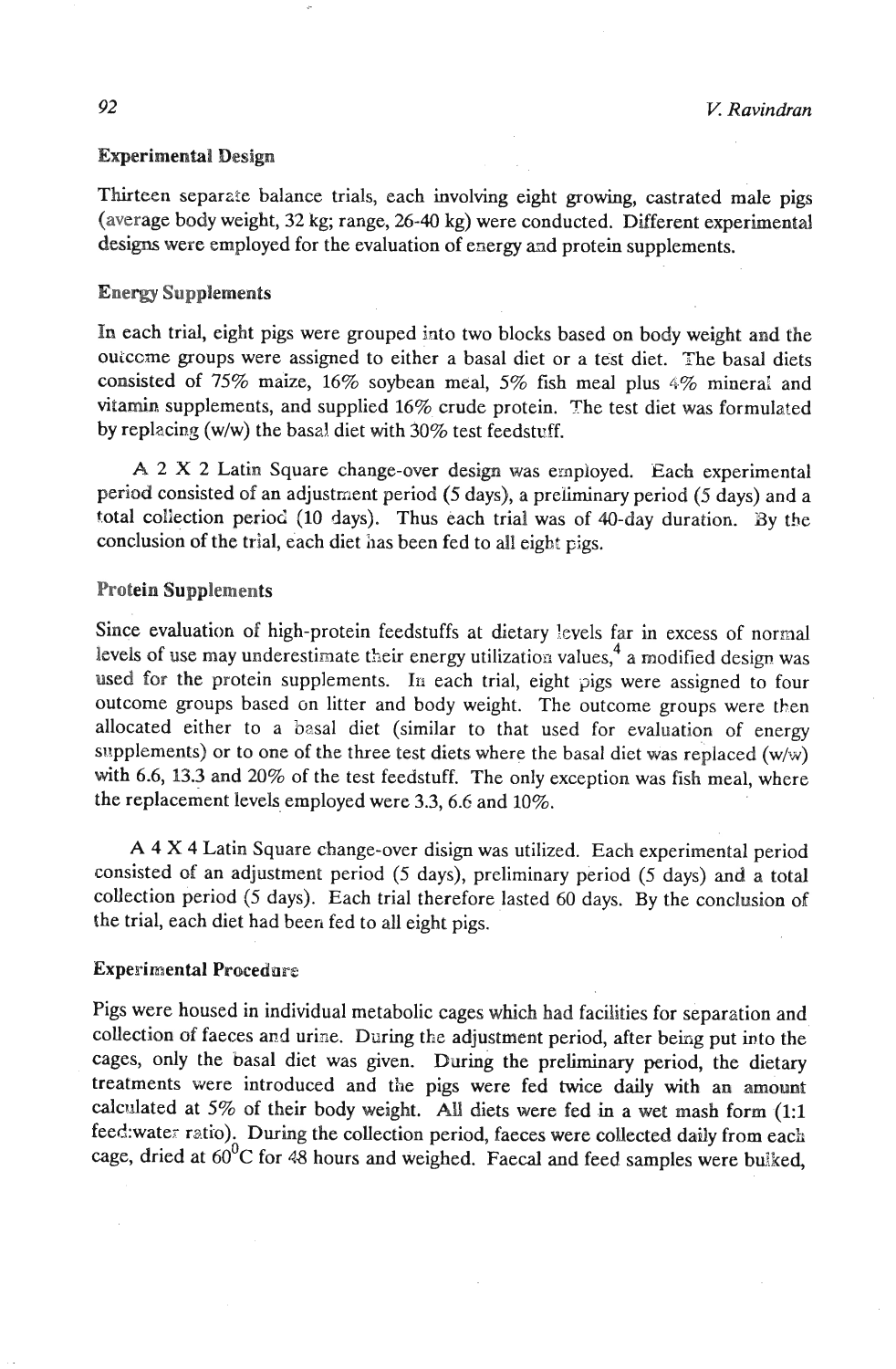#### Experimental Design

Thirteen separate balance trials, each involving eight growing, castrated male pigs (average body weight, **32** kg; range, **26-40** kg) were conducted. Different experimental designs were employed for the evaluation of energy and protein supplements.

## Energy Supplements

In each trial, eight pigs were grouped into two blocks based on body weight and the ouiccme groups were assigned to either a basal diet or a test diet. The basal diets consisted of **75%** maize, **16%** soybean meal, **5%** fish meal plus 4% minera! and vitamin supplements, and supplied 16% crude protein. The test diet was formulated by replacing (w/w) the basal diet with 30% test feedstuff.

**A 2 X 2** Latin Square change-over design was exnployed. Each experimental period consisted of an adjustment period **(5** days), a preliminary period (5 days) and a total collection period **(10** days). Thus each trial was of 40-day duration. By the conclusion of the trial, each diet has been fed to all eight pigs.

## Protein Supplements

Since evaluation of high-protein feedstuffs at dietary levels far in excess of normal levels of use may underestimate their energy utilization values,  $4\alpha$  a modified design was used for the protein supplements. In each trial, eight pigs were assigned to four outcome groups based on litter and body weight. The outcome groups were then allocated either to a basal diet (similar to that used for evaluation of energy supplements) or to one of the three test diets where the basal diet was replaced (w/w) with 6.6, **13.3** and **20%** of the test feedstuff. The only exception was fish meal, where the replacement levels employed were **3.3,6.6** and **10%.** 

**A** 4 X 4 Latin Square change-over disign was utilized. Each experimental period consisted of an adjustment period (5 days), preliminary period (5 days) and a total collection period **(5** days). Each trial therefore lasted **60** days. By the conclusion of the trial, each diet had been fed to all eight pigs.

## Experimental Procedare

Pigs were housed in individual metabolic cages which had facilities for separation and collection of faeces and urine. During the adjustment period, after being put into the cages, only the basal diet was given. During the preliminary period, the dietary treatments were introduced and the pigs were fed **twice** daily with an amount calculated at **5%** of their body weight. All diets were fed in a wet mash form **(1:l**  feed:water ratio). During the collection period, faeces were collected daily from each cage, dried at  $60^0C$  for 48 hours and weighed. Faecal and feed samples were bulked,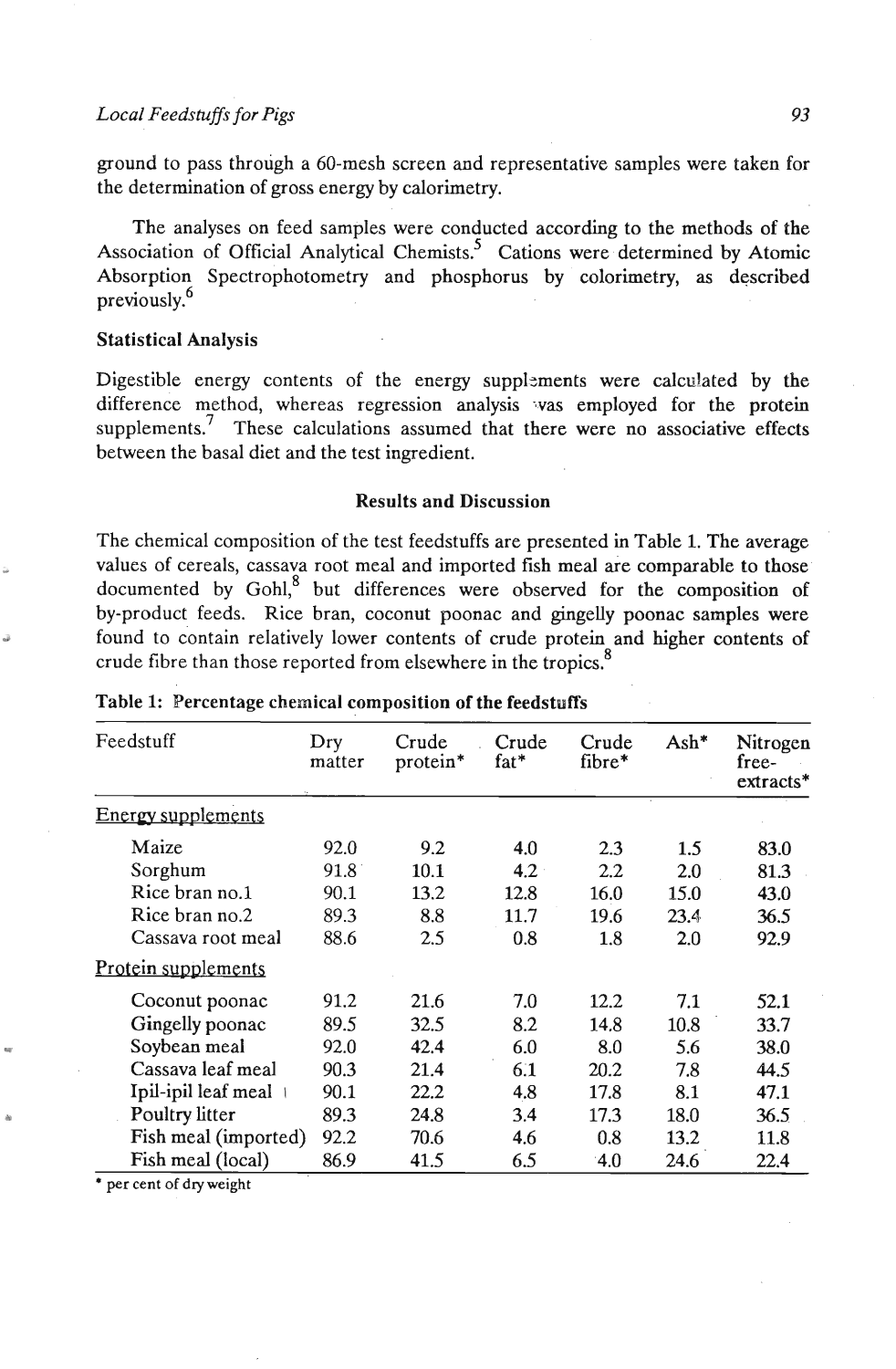#### *Local Feedstuffs* **for** *Pigs 93*

ground to pass through a 60-mesh screen and representative samples were taken for the determination of gross energy by calorimetry.

The analyses on feed samples were conducted according to the methods of the Association of Official Analytical Chemists.<sup>5</sup> Cations were determined by Atomic Absorption Spectrophotometry and phosphorus by colorimetry, as described previously.<sup>6</sup>

#### Statistical Analysis

Digestible energy contents of the energy suppl2ments were calculated by the difference method, whereas regression analysis vas employed for the protein supplements.<sup>7</sup> These calculations assumed that there were no associative effects between the basal diet and the test ingredient.

## Results and Discussion

The chemical composition of the test feedstuffs are presented in Table **1.** The average values of cereals, cassava root meal and imported fish meal are comparable to those documented by  $Gohl$ <sup>8</sup> but differences were observed for the composition of by-product feeds. Rice bran, coconut poonac and gingelly poonac samples were found to contain relatively lower contents of crude protein and higher contents of crude fibre than those reported from elsewhere in the tropics.<sup>8</sup>

| Feedstuff                 | Dry<br>matter | Crude<br>protein* | Crude<br>fat* | Crude<br>fibre* | $\mathrm{Ash*}$ | Nitrogen<br>free-<br>$extracts*$ |
|---------------------------|---------------|-------------------|---------------|-----------------|-----------------|----------------------------------|
| <b>Energy supplements</b> |               |                   |               |                 |                 |                                  |
| Maize                     | 92.0          | 9.2               | 4.0           | 2.3             | 1.5             | 83.0                             |
| Sorghum                   | 91.8          | 10.1              | 4.2           | 2.2             | 2.0             | 81.3                             |
| Rice bran no.1            | 90.1          | 13.2              | 12.8          | 16.0            | 15.0            | 43.0                             |
| Rice bran no.2            | 89.3          | 8.8               | 11.7          | 19.6            | 23.4            | 36.5                             |
| Cassava root meal         | 88.6          | 2.5               | 0.8           | 1.8             | 2.0             | 92.9                             |
| Protein supplements       |               |                   |               |                 |                 |                                  |
| Coconut poonac            | 91.2          | 21.6              | 7.0           | 12.2            | 7.1             | 52.1                             |
| Gingelly poonac           | 89.5          | 32.5              | 8.2           | 14.8            | 10.8            | 33.7                             |
| Soybean meal              | 92.0          | 42.4              | 6.0           | 8.0             | 5.6             | 38.0                             |
| Cassava leaf meal         | 90.3          | 21.4              | 6.1           | 20.2            | 7.8             | 44.5                             |
| Ipil-ipil leaf meal       | 90.1          | 22.2              | 4.8           | 17.8            | 8.1             | 47.1                             |
| Poultry litter            | 89.3          | 24.8              | 3.4           | 17.3            | 18.0            | 36.5                             |
| Fish meal (imported)      | 92.2          | 70.6              | 4.6           | 0.8             | 13.2            | 11.8                             |
| Fish meal (local)         | 86.9          | 41.5              | 6.5           | 4.0             | 24.6            | 22.4                             |

#### Table **1:** Percentage chemical composition of the feedstuffs

**per cent of dry weight**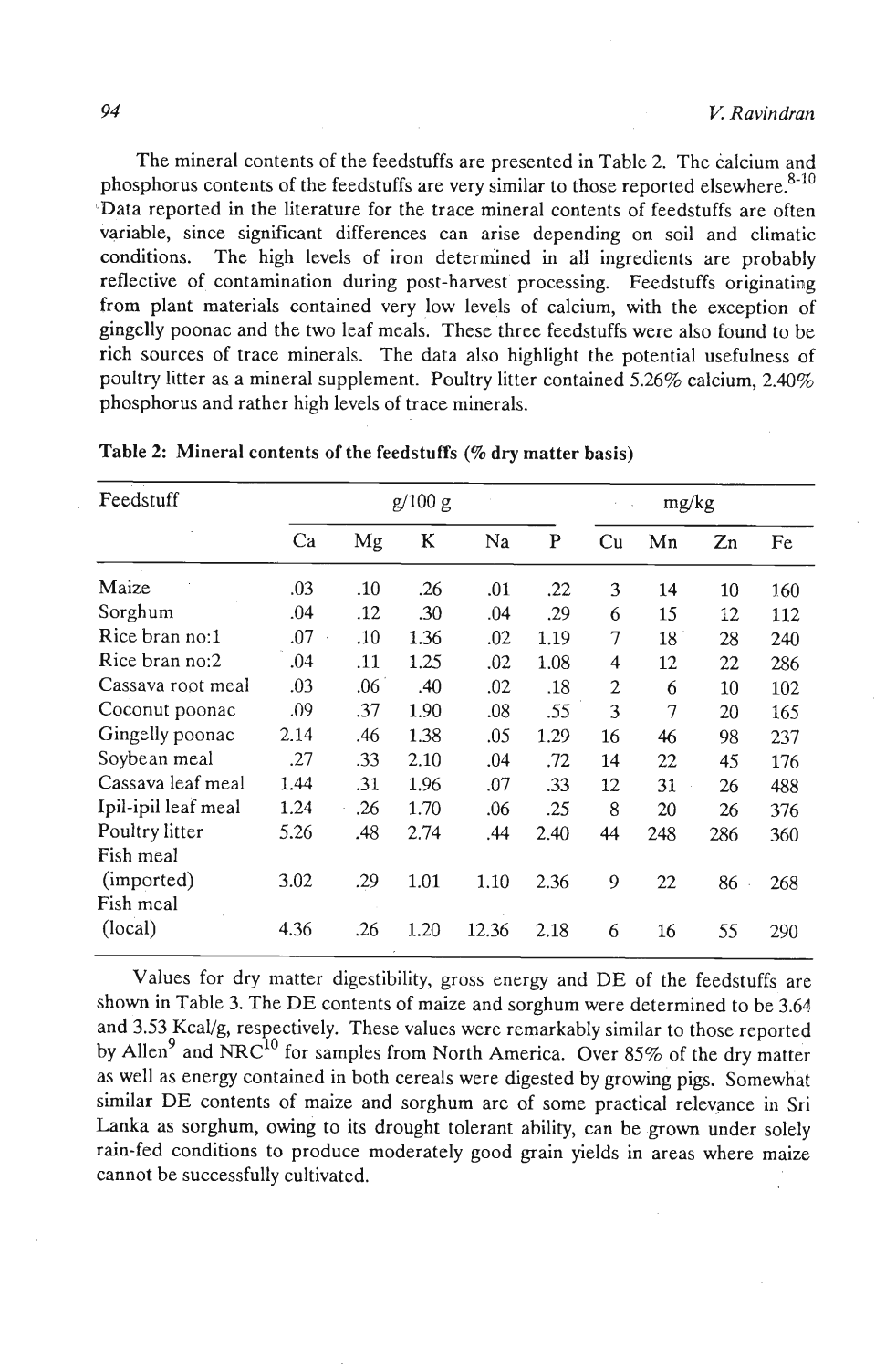The mineral contents of the feedstuffs are presented in Table 2. The calcium and phosphorus contents of the feedstuffs are very similar to those reported elsewhere.<sup>8-10</sup> 'Data reported in the literature for the trace mineral contents of feedstuffs are often variable, since significant differences can arise depending on soil and climatic conditions. The high levels of iron determined in all ingredients are probably reflective of contamination during post-harvest processing. Feedstuffs originating from plant materials contained very low levels of calcium, with the exception of gingelly poonac and the two leaf meals. These three feedstuffs were also found to be rich sources of trace minerals. The data also highlight the potential usefulness of poultry litter as a mineral supplement. Poultry litter contained 5.26% calcium, 2.40% phosphorus and rather high levels of trace minerals.

| Feedstuff           | g/100 g |     |      |       |      | mg/kg |     |         |     |
|---------------------|---------|-----|------|-------|------|-------|-----|---------|-----|
|                     | Ca      | Mg  | K    | Na    | P    | Cu    | Mn  | $Z_{n}$ | Fe  |
| Maize               | .03     | .10 | .26  | .01   | .22  | 3     | 14  | 10      | 160 |
| Sorghum             | .04     | .12 | .30  | .04   | .29  | 6     | 15  | 12      | 112 |
| Rice bran no:1      | .07     | .10 | 1.36 | .02   | 1.19 | 7     | 18  | 28      | 240 |
| Rice bran no:2      | .04     | .11 | 1.25 | .02   | 1.08 | 4     | 12  | 22      | 286 |
| Cassava root meal   | .03     | .06 | .40  | .02   | .18  | 2     | 6   | 10      | 102 |
| Coconut poonac      | .09     | .37 | 1.90 | .08   | .55  | 3     | 7   | 20      | 165 |
| Gingelly poonac     | 2.14    | .46 | 1.38 | .05   | 1.29 | 16    | 46  | 98      | 237 |
| Soybean meal        | .27     | .33 | 2.10 | .04   | .72  | 14    | 22  | 45      | 176 |
| Cassava leaf meal   | 1.44    | .31 | 1.96 | .07   | .33  | 12    | 31  | 26      | 488 |
| Ipil-ipil leaf meal | 1.24    | .26 | 1.70 | .06   | .25  | 8     | 20  | 26      | 376 |
| Poultry litter      | 5.26    | .48 | 2.74 | .44   | 2.40 | 44    | 248 | 286     | 360 |
| Fish meal           |         |     |      |       |      |       |     |         |     |
| (imported)          | 3.02    | .29 | 1.01 | 1.10  | 2.36 | 9     | 22  | 86      | 268 |
| Fish meal           |         |     |      |       |      |       |     |         |     |
| (local)             | 4.36    | .26 | 1.20 | 12.36 | 2.18 | 6     | 16  | 55      | 290 |

Table **2:** Mineral contents **of** the feedstuffs **(70** dry matter basis)

Values for dry matter digestibility, gross energy and DE of the feedstuffs are shown in Table 3. The DE contents of maize and sorghum were determined to be 3.64 and 3.53 KcaVg, respectively. These values were remarkably similar to those reported by Allen<sup>9</sup> and NRC<sup>10</sup> for samples from North America. Over 85% of the dry matter as well as energy contained in both cereals were digested by growing pigs. Somewhat similar DE contents of maize and sorghum are of some practical relevance in Sri Lanka as sorghum, owing to its drought tolerant ability, can be grown under solely rain-fed conditions to produce moderately good grain yields in areas where maize cannot be successfully cultivated.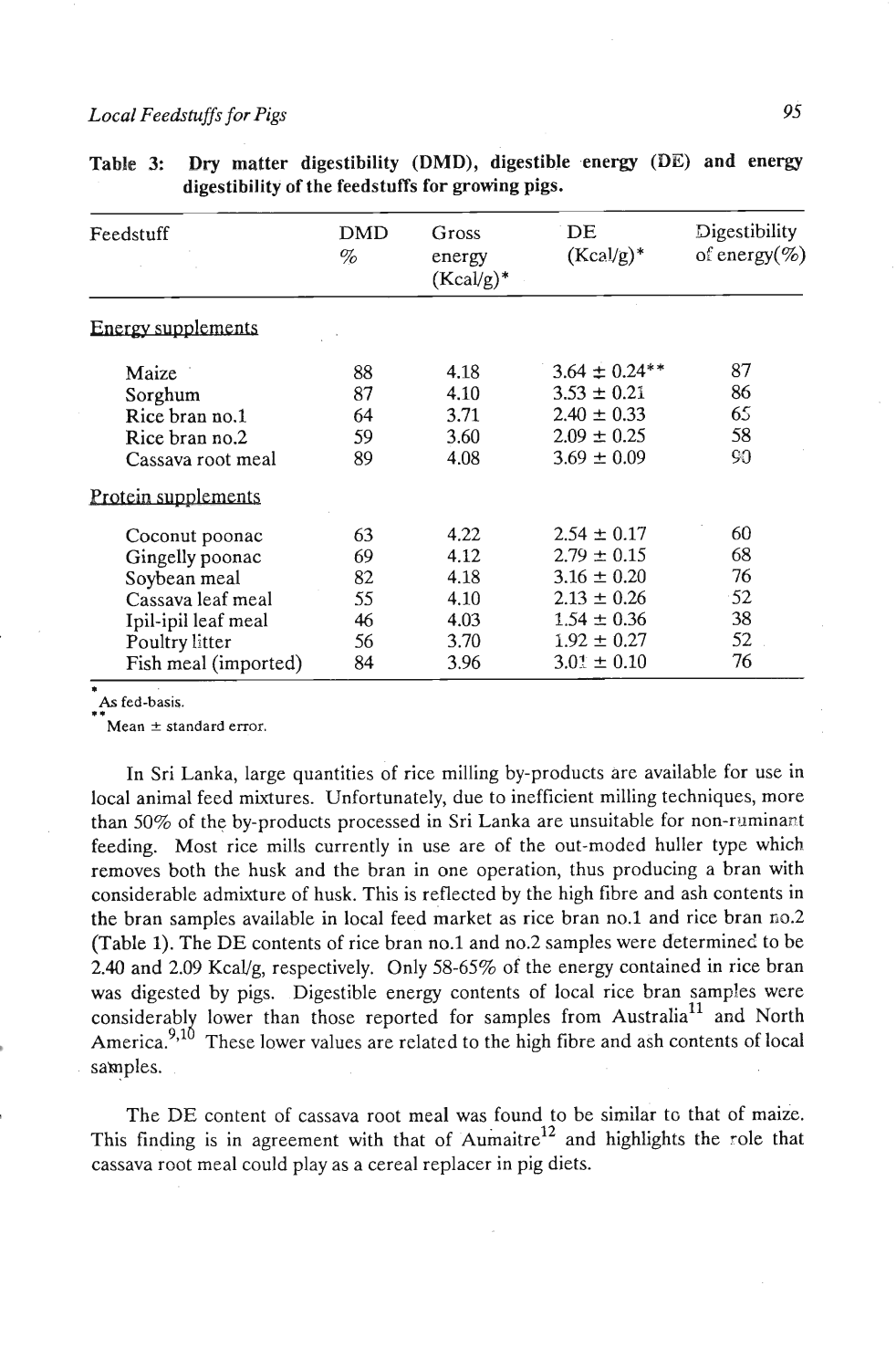# *Local Feedstuffs for Pigs* **95**

| Feedstuff                 | <b>DMD</b><br>% | Gross<br>energy<br>$(Kcal/g)^*$ | DE<br>$(Kcal/g)^*$ | Digestibility<br>of energy $(\%)$ |
|---------------------------|-----------------|---------------------------------|--------------------|-----------------------------------|
| <b>Energy supplements</b> |                 |                                 |                    |                                   |
| Maize                     | 88              | 4.18                            | $3.64 \pm 0.24**$  | 87                                |
| Sorghum                   | 87              | 4.10                            | $3.53 \pm 0.21$    | 86                                |
| Rice bran no.1            | 64              | 3.71                            | $2.40 \pm 0.33$    | 65                                |
| Rice bran no.2            | 59              | 3.60                            | $2.09 \pm 0.25$    | 58                                |
| Cassava root meal         | 89              | 4.08                            | $3.69 \pm 0.09$    | 90                                |
| Protein supplements       |                 |                                 |                    |                                   |
| Coconut poonac            | 63              | 4.22                            | $2.54 \pm 0.17$    | 60                                |
| Gingelly poonac           | 69              | 4.12                            | $2.79 \pm 0.15$    | 68                                |
| Soybean meal              | 82              | 4.18                            | $3.16 \pm 0.20$    | 76                                |
| Cassava leaf meal         | 55              | 4.10                            | $2.13 \pm 0.26$    | $-52$                             |
| Ipil-ipil leaf meal       | 46              | 4.03                            | $1.54 \pm 0.36$    | 38                                |
| Poultry litter            | 56              | 3.70                            | $1.92 \pm 0.27$    | 52                                |
| Fish meal (imported)      | 84              | 3.96                            | $3.01 \pm 0.10$    | 76                                |

|                                                   |  |  | Table 3: Dry matter digestibility (DMD), digestible energy (DE) and energy |  |  |  |  |  |
|---------------------------------------------------|--|--|----------------------------------------------------------------------------|--|--|--|--|--|
| digestibility of the feedstuffs for growing pigs. |  |  |                                                                            |  |  |  |  |  |

# \* **As fed-basis.**

**Mean**  $\pm$  **standard error.** 

In Sri Lanka, large quantities of rice milling by-products are available for use in local animal feed mixtures. Unfortunately, due to inefficient milling techniques, more than **50%** of the by-products processed in Sri Lanka are unsuitable for non-ruminapt feeding. Most rice mills currently in use are of the out-moded huller type which removes both the husk and the bran in one operation, thus producing a bran with considerable admixture of husk. This is reflected by the high fibre and ash contents in the bran samples available in local feed market as rice bran no.1 and rice bran **fis.2**  (Table **1).** The DE contents of rice bran no.1 and no.2 samples were determined to be **2.40** and **2.09** KcaVg, respectively. Only **58-65%** of the energy contained in rice bran was digested by pigs. Digestible energy contents of local rice bran samples were considerably lower than those reported for samples from Australia<sup>11</sup> and North America.<sup>9,10</sup> These lower values are related to the high fibre and ash contents of local samples.

The DE content of cassava root meal was found to be similar to that of maize. This finding is in agreement with that of Aumaitre<sup>12</sup> and highlights the role that cassava root meal could play as a cereal replacer in pig diets.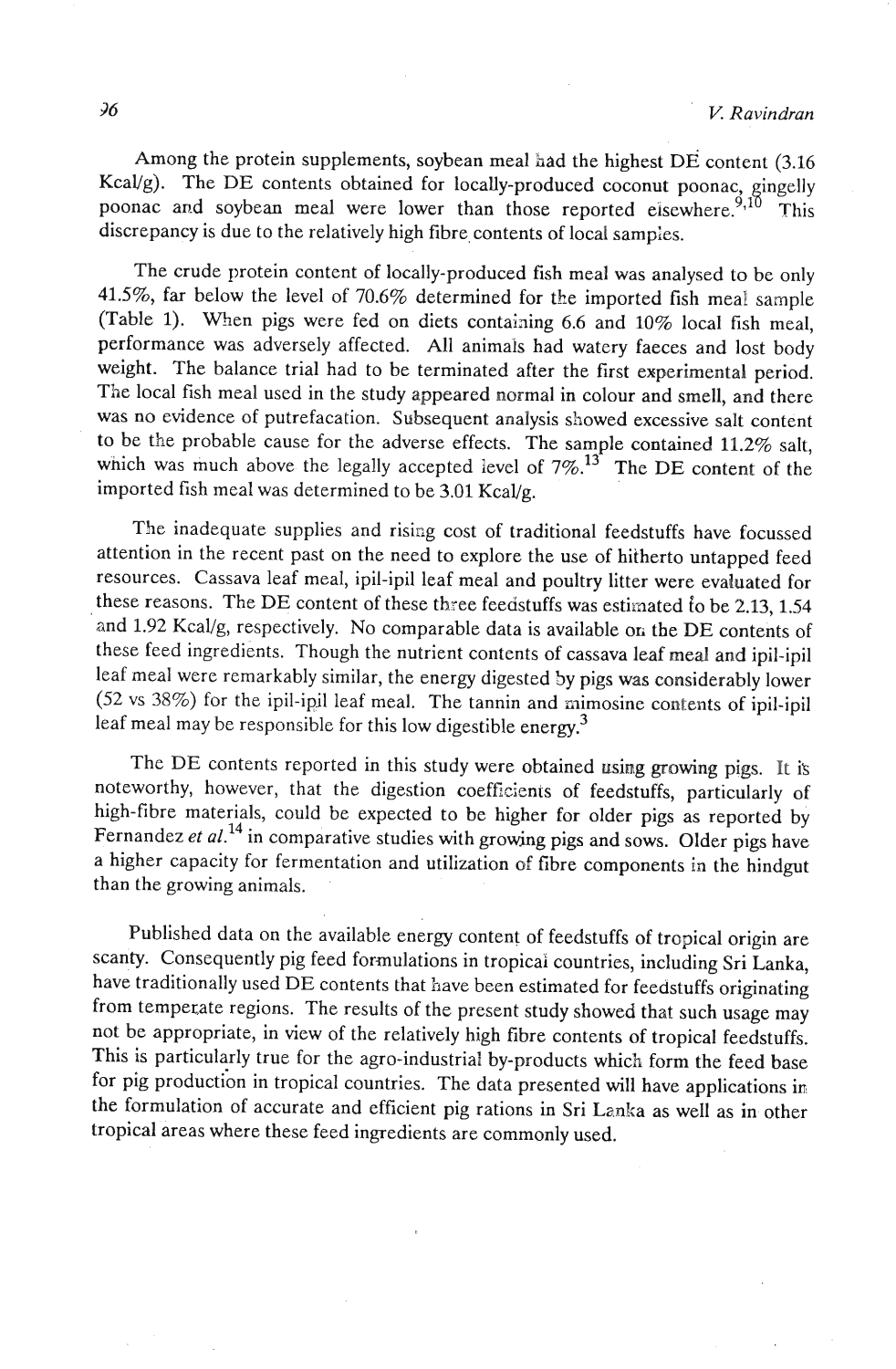Among the protein supplements, soybean meal had the highest DE content (3.16 Kcal/g). The DE contents obtained for locally-produced coconut poonac, gingelly poonac and soybean meal were lower than those reported eisewhere. <sup>9,10</sup> This discrepancy is due to the relatively high fibre contents of local samples.

The crude protein content of locally-produced fish meal was analysed to be only **41.5%,** far below the level of 70.6% determined for the imported fish meal sample (Table 1). When pigs were fed on diets containing 6.6 and  $10\%$  local fish meal, performance was adversely affected. All animals had watery faeces and lost body weight. The balance trial had to be terminated after the first experimental period. The local fish meal used in the study appeared normal in colour and smelI, and there was no evidence of putrefacation. Subsequent analysis showed excessive salt content to be the probable cause for the adverse effects. The sample contained **11.2%** salt, which was much above the legally accepted level of  $7\%$ <sup>3</sup>. The DE content of the imported fish meal was determined to be  $3.01$  Kcal/g.

The inadequate supplies and rising cost of traditional feedstuffs have focussed attention in the recent past on the need to explore the use of hitherto untapped feed resources. Cassava leaf meal, ipil-ipil leaf meal and poultry litter were evaluated for these reasons. The DE content of these three feedstuffs was estimated to be 2.13, 1.54 and 1.92 Kcal/g, respectively. No comparable data is available on the DE contents of these feed ingredients. Though the nutrient contents of cassava leaf meal and ipil-ipil leaf meal were remarkably similar, the energy digested 5y pigs was considerably lower  $(52 \text{ vs } 38\%)$  for the ipil-ipil leaf meal. The tannin and mimosine contents of ipil-ipil leaf meal may be responsible for this low digestible energy.3

The DE contents reported in this study were obtained using growing pigs. It is noteworthy, however, that the digestion coefficients of feedstuffs, particularly of high-fibre materials, could be expected to be higher for older pigs as reported by Fernandez et al.<sup>14</sup> in comparative studies with growing pigs and sows. Older pigs have a higher capacity for fermentation and utilization of fibre components in the hindgut than the growing animals.

Published data on the available energy content of feedstuffs of tropical origin are scanty. Consequently pig feed formulations in tropicai countries, including Sri Lanka, have traditionally used DE contents that have been estimated for feedstuffs originating from tempezate regions. The results of the present study showed that such usage may not be appropriate, in view of the relatively high fibre contents of tropical feedstuffs. This is particularly true for the agro-industrial by-products which form the feed base for pig production in tropical countries. The data presented will have applications in the formulation of accurate and efficient pig rations in Sri Lanka as well as in other tropical areas where these feed ingredients are commonly used.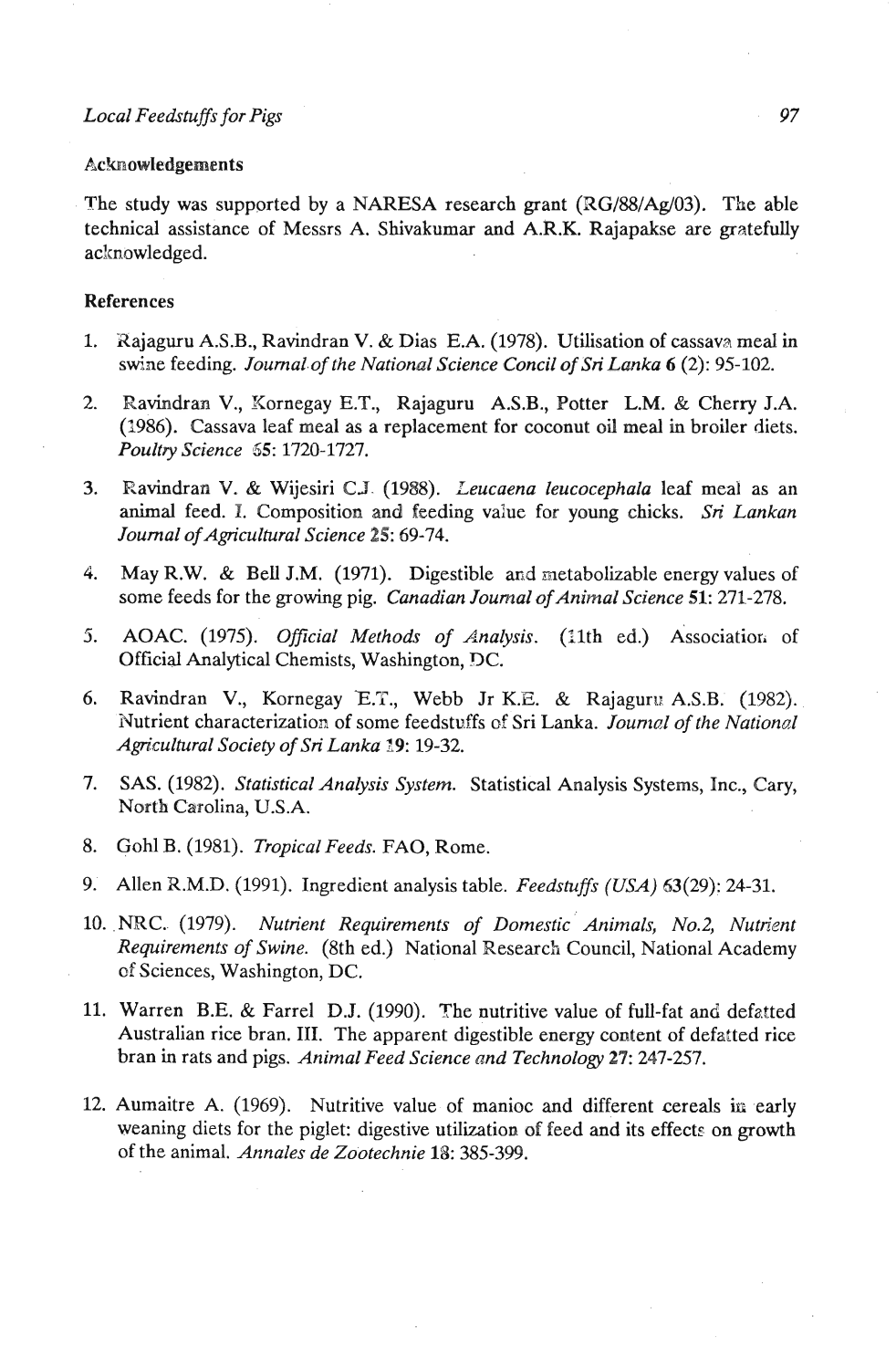#### Acknowledgements

The study was supported by a NARESA research grant (RG/88/Ag/03). The able technical assistance of Messrs A. Shivakumar and A.R.K. Rajapakse are gratefully acknowledged.

## References

- 1. Xajaguru A.S.B., Ravindran V. & Dias E.A. (1978). Utilisation of cassava meal in swine feeding. *Joumal.of the National Science Concil of Sri Lanka 6* **(2):** 95-102.
- 2. Ravindran V., Kornegay E.T., Rajaguru A.S.B., Potter L.M. & Cherry J.A. (1986). Cassava leaf meal as a replacement for coconut oil meal in broiler diets. *Poultry Science* **65:** 1720-1727.
- **3.** Ravindran V. & Wijesiri CJ. (1988). *Leucaena leucocephala* leaf meal as an animal feed. I. Composition and feeding value for young chicks. *Sri Lankan Journal ofAgngncultural Science 25:* 69-74.
- 4. May R.W. & Bell J.M. (1971). Digestible and metabolizable energy values of some feeds for the growing pig. *Canadian Journal of Animal Science* 51: 271-278.
- 5. AOAC. (1975). *Official Methods of Analysis*. (11th ed.) Association of Official Analytical Chemists, Washington, DC.
- 6. Ravindran V., Kornegay **E.T.,** Webb Jr K.E. & Rajaguru A.S.B. (1982). Nutrient characterization of some feedstuffs of Sri Lanka. *Journal of the National Agn'cultural Society of Sri Lanka 19:* 19-32.
- **7.** SAS. (1982). *Statistical Analysis System.* Statistical Analysis Systems, Inc., Cary, North Carolina, U.S.A.
- 8. Gohl B. (1981). *Tropical Feeds.* FAO, Rome.
- 9. Allen X.M.D. (1991). Ingredient analysis table. *Feedstuffs ((USA)* 63(29): 24-31.
- 10. NRC. (1979). *Nutrient Requirements of Domestic Animals, No.2, Nutrient Requirements of Swine.* (8th ed.) National Research Council, National Academy of Sciences, Washington, DC.
- 11. Warren B.E. & Farrel D.J. (1990). The nutritive value of full-fat and defatted Australian rice bran. **111.** The apparent digestible energy content of defatted rice bran in rats and pigs. *Animal Feed Science and Technology 27:* 247-257.
- 12. Aumaitre A. (1969). Nutritive value of manioc and different cereals **in** early weaning diets for the piglet: digestive utilization of feed and its effects on growth of the animal. *Annales de Zootechnie* 18: **385-393.**